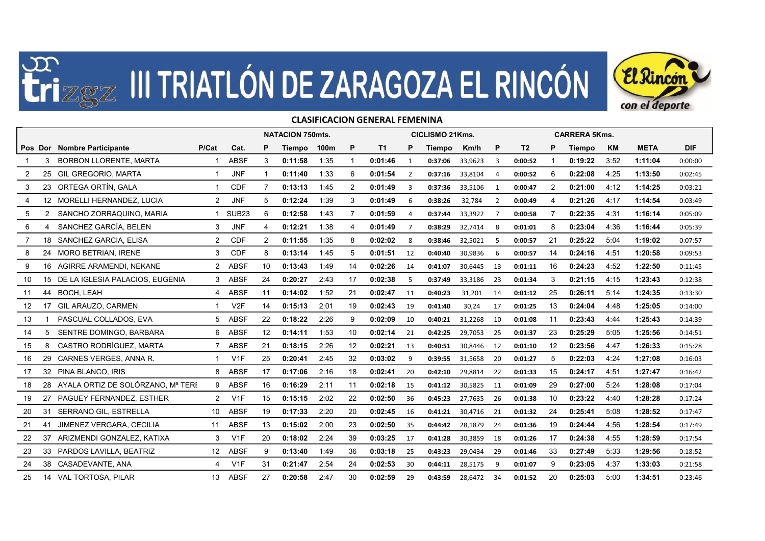



## Pos Dor Nombre Participante P/Cat Cat. P Tiempo 100m P T1 P Tiempo Km/h P T2 P Tiempo KM META DIF 1 3 BORBON LLORENTE, MARTA 1 ABSF 3 0:11:58 1:35 1 0:01:46 1 0:37:06 33,9623 3 0:00:52 1 0:19:22 3:52 1:11:04 0:00:00 2 25 GIL GREGORIO, MARTA 1 JNF 1 0:11:40 1:33 6 0:01:54 2 0:37:16 33,8104 4 0:00:52 6 0:22:08 4:25 1:13:50 0:02:45 3 23 ORTEGA ORTÍN, GALA 1 CDF 7 0:13:13 1:45 2 0:01:49 3 0:37:36 33,5106 1 0:00:47 2 0:21:00 4:12 1:14:25 0:03:21 4 12 MORELLI HERNANDEZ, LUCIA 2 JNF 5 0:12:24 1:39 3 0:01:49 6 0:38:26 32,784 2 0:00:49 4 0:21:26 4:17 1:14:54 0:03:49 5 2 SANCHO ZORRAQUINO, MARIA 1 SUB23 6 0:12:58 1:43 7 0:01:59 4 0:37:44 33,3922 7 0:00:58 7 0:22:35 4:31 1:16:14 0:05:09 6 4 SANCHEZ GARCÍA, BELEN 3 JNF 4 0:12:21 1:38 4 0:01:49 7 0:38:29 32,7414 8 0:01:01 8 0:23:04 4:36 1:16:44 0:05:39 7 18 SANCHEZ GARCIA, ELISA 2 CDF 2 0:11:55 1:35 8 0:02:02 8 0:38:46 32,5021 5 0:00:57 21 0:25:22 5:04 1:19:02 0:07:57 NATACION 750mts. CICLISMO 21Kms. CARRERA 5Kms. THE TERRAGOZA EL RINCÓN COMPTANY NATACION CONTRACTOR CARRENA SKING CONTRACTOR CONTRACTOR CARRENA SKING CONTRACTOR CONTRACTOR CARRENA SKING CONTRACTOR CONTRACTOR NATACION CONTRACTOR CARRENA SKING CONTRACTOR CARRENA SKING CO 7 18 SANCHEZ GARCIA FLISA 2 2 CDE 2 0:11:55 1:35 8 0:02:02 8 0:38:46 32.5021 8 24 MORO BETRIAN, IRENE 3 CDF 8 0:13:14 1:45 5 0:01:51 12 0:40:40 30,9836 6 0:00:57 14 0:24:16 4:51 1:20:58 0:09:53 9 16 AGIRRE ARAMENDI, NEKANE 2 ABSF 10 0:13:43 1:49 14 0:02:26 14 0:41:07 30,6445 13 0:01:11 16 0:24:23 4:52 1:22:50 0:11:45 10 15 DE LA IGLESIA PALACIOS, EUGENIA 3 ABSF 24 0:20:27 2:43 17 0:02:38 5 0:37:49 33,3186 23 0:01:34 3 0:21:15 4:15 1:23:43 0:12:38 11 44 BOCH, LEAH 4 ABSF 11 0:14:02 1:52 21 0:02:47 11 0:40:23 31,201 14 0:01:12 25 0:26:11 5:14 1:24:35 0:13:30 12 17 GIL ARAUZO, CARMEN 1 V2F 14 0:15:13 2:01 19 0:02:43 19 0:41:40 30,24 17 0:01:25 13 0:24:04 4:48 1:25:05 0:14:00 13 1 PASCUAL COLLADOS, EVA 5 ABSF 22 0:18:22 2:26 9 0:02:09 10 0:40:21 31,2268 10 0:01:08 11 0:23:43 4:44 1:25:43 0:14:39 14 5 SENTRE DOMINGO, BARBARA 6 ABSF 12 0:14:11 1:53 10 0:02:14 21 0:42:25 29,7053 25 0:01:37 23 0:25:29 5:05 1:25:56 0:14:51 15 8 CASTRO RODRÍGUEZ, MARTA 7 ABSF 21 0:18:15 2:26 12 0:02:21 13 0:40:51 30,8446 12 0:01:10 12 0:23:56 4:47 1:26:33 0:15:28 16 29 CARNES VERGES, ANNA R. 1 V1F 25 0:20:41 2:45 32 0:03:02 9 0:39:55 31,5658 20 0:01:27 5 0:22:03 4:24 1:27:08 0:16:03 17 32 PINA BLANCO, IRIS 8 ABSF 17 0:17:06 2:16 18 0:02:41 20 0:42:10 29,8814 22 0:01:33 15 0:24:17 4:51 1:27:47 0:16:42 18 28 AYALA ORTIZ DE SOLÓRZANO, Mª TERI 9 ABSF 16 0:16:29 2:11 11 0:02:18 15 0:41:12 30.5825 11 0:01:09 29 0:27:00 5:24 1:28:08 0:17:04 19 27 PAGUEY FERNANDEZ, ESTHER 2 V1F 15 0:15:15 2:02 22 0:02:50 36 0:45:23 27,7635 26 0:01:38 10 0:23:22 4:40 1:28:28 0:17:24 20 31 SERRANO GIL, ESTRELLA 10 ABSF 19 0:17:33 2:20 20 0:02:45 16 0:41:21 30,4716 21 0:01:32 24 0:25:41 5:08 1:28:52 0:17:47 21 41 JIMENEZ VERGARA, CECILIA 11 ABSF 13 0:15:02 2:00 23 0:02:50 35 0:44:42 28,1879 24 0:01:36 19 0:24:44 4:56 1:28:54 0:17:49 22 37 ARIZMENDI GONZALEZ, KATIXA 3 V1F 20 0:18:02 2:24 39 0:03:25 17 0:41:28 30,3859 18 0:01:26 17 0:24:38 4:55 1:28:59 0:17:54 23 33 PARDOS LAVILLA, BEATRIZ 12 ABSF 9 0:13:40 1:49 36 0:03:18 25 0:43:23 29,0434 29 0:01:46 33 0:27:49 5:33 1:29:56 0:18:52 24 38 CASADEVANTE, ANA 4 V1F 31 0:21:47 2:54 24 0:02:53 30 0:44:11 28,5175 9 0:01:07 9 0:23:05 4:37 1:33:03 0:21:58

25 14 VAL TORTOSA, PILAR 13 ABSF 27 0:20:58 2:47 30 0:02:59 29 0:43:59 28,6472 34 0:01:52 20 0:25:03 5:00 1:34:51 0:23:46